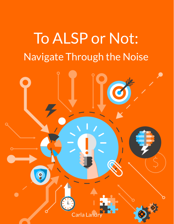# To ALSP or Not: Navigate Through the Noise

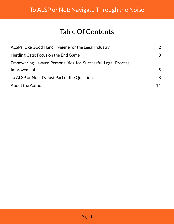# Table Of Contents

| ALSPs: Like Good Hand Hygiene for the Legal Industry                | $\overline{2}$ |
|---------------------------------------------------------------------|----------------|
| Herding Cats: Focus on the End Game                                 | $\mathcal{S}$  |
| <b>Empowering Lawyer Personalities for Successful Legal Process</b> |                |
| Improvement                                                         | 5              |
| To ALSP or Not. It's Just Part of the Question                      | 8              |
| <b>About the Author</b>                                             |                |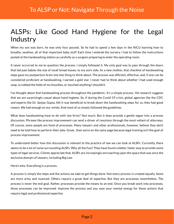# <span id="page-2-0"></span>ALSPs: Like Good Hand Hygiene for the Legal Industry

When my son was born, he was only four pounds. So he had to spend a few days in the NICU learning how to breathe, swallow, all of that important baby stuff. Each time I entered the nursery, I had to follow the instructions posted at the handwashing station as carefully as a surgeon preparing to enter the operating room.

It never occurred to me to question the process. I simply followed it. My only goal was to pass through the doors that led past babies the size of small bread loaves, to my son's side. As a new mother, that checklist of handwashing steps gave my postpartum brain one less thing to think about. The process was efficient, effective, and, if one can be considered proficient at handwashing, I earned a gold star. I never had to think about whether I had used enough soap, scrubbed the folds of my knuckles, or touched anything I shouldn't.

I've thought about that handwashing process throughout the pandemic. It's a simple process. Yet research suggests that we are surprisingly casual about hand hygiene. So, if during the Covid-19 crisis, global agencies like the CDC and experts like Dr. Sanjay Gupta, felt it was beneficial to break down the handwashing steps for us, they had good reason. We had enough on our minds. And most of us simply followed the guidelines.

What does handwashing have to do with law firms? Not much. But it does provide a gentle segue into a process discussion. Phrases like process improvement can send a shiver of revulsion through the most valiant of attorneys. Of course, some people are fond of processes. Many lawyers and other professionals, however, believe they don't need to be told how to perform their jobs. Great…then we're on the same page because legal training isn't the goal of process improvement.

To understand better how this discussion is relevant to the practice of law we can look at ALSPs. Currently, there seems to be a lot of noise surrounding ALSPs. Why all the fuss? They have found a better, faster way to provide some types of legal services. Clients appreciate that. ALSPs are increasingly encroaching upon the space that was once the exclusive domain of lawyers, including Big Law.

Here's why: Everything is a process.

A process is simply the steps and the actions we take to get things done. Not every process is created equally. Some are more artsy and nuanced. Others require a great deal of expertise. But they are processes nevertheless. The process is never the end goal. Rather, processes provide the means to an end. Once you break work into processes, those processes can be improved. Improve the process and you save your mental energy for those actions that require legal and professional expertise.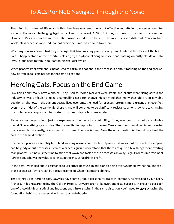The thing that makes ALSPs work is that they have mastered the art of effective and efficient processes, even for some of the more challenging legal work. Law firms aren't ALSPs. But they can learn from the process model. However, it's easier said than done. The business model is different. The incentives are different. You can have world-class processes and find that not everyone is motivated to follow them.

When my son was born, I had to go through that handwashing process every time I entered the doors of the NICU. So as I happily stood at the hospital sink singing the Alphabet Song to myself and floating on puffy clouds of baby love, I didn't need to think about anything else. Just my kid.

When process improvement is introduced to a firm, it's not about the process. It's about focusing on the end goal. So, how do you get all cats herded in the same direction?

# <span id="page-3-0"></span>Herding Cats: Focus on the End Game

Law firms don't really have a choice. They used to. When markets were stable and profits were rising across the industry, it was difficult to make a compelling case for change. Never mind that many that did are in enviable positions right now. In the current destabilized economy, the need for process reform is more urgent than ever. Yet, even in the midst of the pandemic, there is and will continue to be significant resistance among lawyers to changing from what some corporate minds refer to as the cost-plus business model.

Firms are no longer able to just cut expenses on their way to profitability, if they ever could. It's not a sustainable model. So something's got to give. The answer lies in improving processes. We've been counting down from three for many years, but we really, really mean it this time. The case is clear. Now the only question is: How do we herd the cats in the same direction?

Remember, processes simplify life. Hand washing wasn't about the NICU process; it was about my son. Not everyone can be giddy about processes. Even as a process guru, I understand that there are quite a few things more exciting than process. But now is the time to stifle that yawn and tackle those processes anyway. Legal Process Improvement (LPI) is about delivering value to clients. In the end, value drives profit.

In the past, I've talked about resistance to LPI either because, in addition to being overwhelmed by the thought of all those processes, lawyers can be a troublesome lot when it comes to change.

That brings us to herding cats. Lawyers have some unique personality traits in common, as revealed by Dr. Larry Richard, in his research using the Caliper Profile. Lawyers aren't like everyone else. Surprise. In order to get each one of these highly analytical and independent thinkers going in the same direction, you'll need to *start* by laying the foundation behind the scenes. You'll need to create buy-in.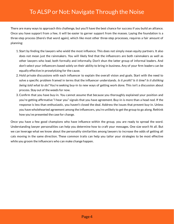There are many ways to approach this challenge, but you'll have the best chance for success if you build an alliance. Once you have support from a few, it will be easier to garner support from the masses. Laying the foundation is a three-step process (there's that word again), which like most other three-step processes, requires a fair amount of planning:

- 1. Start by finding the lawyers who wield the most influence. This does not simply mean equity partners. It also does not mean just the rainmakers. You will likely find that the influencers are both rainmakers as well as other lawyers who lead, both formally and informally. Don't shun the latter group of informal leaders. And don't select your influencers based solely on their ability to bring in business. Any of your firm leaders can be equally effective in proselytizing for the cause.
- 2. Hold private discussions with each influencer to explain the overall vision and goals. Start with the need to solve a specific problem framed in terms that the influencer understands. *Is it profit? Is it time? Is it disliking* being told what to do? You're seeking buy-in to new ways of getting work done. This isn't a discussion about process. Stay out of the weeds for now.
- 3. Confirm that you have buy-in. You cannot assume that because you thoroughly explained your position and you're getting affirmative "I hear you" signals that you have agreement. Buy-in is more than a head nod. If the response is less than enthusiastic, you haven't closed the deal. Address the issues that prevent buy-in. Unless you have wholehearted agreement among the influencers, you're unlikely to get the group to go along. Rethink how you've presented the case for change.

Once you have a few good champions who have influence within the group, you are ready to spread the word. Understanding lawyer personalities can help you determine how to craft your messages. One size won't fit all. But we can leverage what we know about the personality similarities among lawyers to increase the odds of getting all cats moving in the same direction. These common traits can help you tailor your strategies to be most effective while you groom the influencers who can make change happen.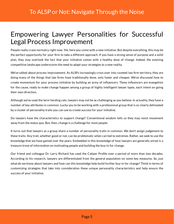### <span id="page-5-0"></span>Empowering Lawyer Personalities for Successful Legal Process Improvement

People really crave normalcy right now. Yet, here you come with a new initiative. But despite everything, this may be the perfect opportunity for your firm to take a different approach. If you have a strong sense of purpose and a solid plan, they may overlook the fact that your initiative comes with a healthy dose of change. Indeed, the evolving competitive landscape underscores the need to adapt your strategies to a new reality.

We've talked about process improvement. As ALSPs increasingly cross over into coveted law firm territory, they are doing many of the things that law firms have traditionally done, only faster and cheaper. We've discussed how to create momentum for your process initiative by building an army of influencers. These influencers are evangelists for the cause, ready to make change happen among a group of highly intelligent lawyer types, each intent on going their own direction.

Although we've used the term herding cats, lawyers may not be as challenging as you believe. In actuality, they have a number of key attributes in common. Lucky you to be working with a professional group that is so clearly delineated by a cluster of personality traits you can use to create success for your initiative.

Do lawyers have the characteristics to support change? Conventional wisdom tells us they may resist movement away from the status quo. But, then, change is a challenge for most people.

It turns out that lawyers as a group share a number of personality traits in common. We don't assign judgement to these traits: Any trait, whether good or not, can be problematic when carried to extremes. Rather, we seek to use the knowledge that we have gained over the years. Embedded in this knowledge of how lawyers are generally wired is a treasure trove of information on motivating people and building the buy-in for change.

Our friend and colleague Dr. Larry Richard has used the Caliper Profile over a period of more than two decades. According to his research, lawyers are differentiated from the general population on some key measures. So, just what do we know about lawyers and how can this knowledge help build further buy-in for change? Think in terms of customizing strategies that take into consideration these unique personality characteristics and help ensure the success of your initiative.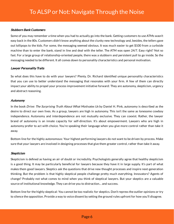#### Stubborn Bank Customers

Some of you may remember a time when you had to actually go into the bank. Getting customers to use ATMs wasn't easy back in the 80s. Customers didn't know anything about the clunky new technology and, besides, the tellers gave out lollipops to the kids. For some, the messaging seemed obvious. It was much easier to get \$100 from a curbside machine than to enter the bank, stand in line and deal with the teller. The ATM was open 24/7. Easy right? Not so fast. For a large group of relationship-oriented people, there was a stubborn and persistent pull to go inside. So the messaging needed to be different. It all comes down to personality characteristics and personal motivation.

#### Lawyer Personality Traits

So what does this have to do with your lawyers? Plenty. Dr. Richard identified unique personality characteristics that you can use to better understand the messaging that resonates with your firm. A few of them can directly impact your ability to propel your process improvement initiative forward: They are autonomy, skepticism, urgency and abstract reasoning.

#### Autonomy

In the book Drive: The Surprising Truth About What Motivates Us by Daniel H. Pink, autonomy is described as the desire to direct our own lives. As a group, lawyers are high in autonomy. This isn't the same as lonesome cowboy independence. Autonomy and interdependence are not mutually exclusive. They can coexist. Rather, the lawyer brand of autonomy is an innate capacity for self-direction. It's about empowerment. Lawyers who are high in autonomy prefer to act with choice. You're speaking their language when you give more control rather than take it away.

Bottom line for the highly autonomous: Your highest performing lawyers do not want to be driven by process. Make sure that your lawyers are involved in designing processes that give them greater control, rather than take it away.

#### **Skepticism**

Skepticism is defined as having an air of doubt or incredulity. Psychologists generally agree that healthy skepticism is a good thing. It may be particularly beneficial for lawyers because they have it in large supply. It's part of what makes them good lawyers. Skeptics ask the questions that drive new thought processes and inspire next-generation thinking. But the problem is that highly skeptical people challenge pretty much everything. Innovators? Agents of change? Probably not what comes to mind when you think of skeptical lawyers. But your skeptics are a valuable source of institutional knowledge. They can drive you to distraction… and success.

Bottom line for the highly skeptical: You cannot be too realistic for skeptics. Don't repress the outlier opinions or try to silence the opposition. Provide a way to voice dissent by setting the ground rules upfront for how you'll disagree.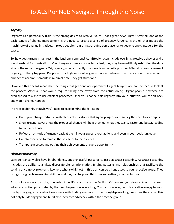#### **Urgency**

Urgency, as a personality trait, is the strong desire to resolve issues. That's great news, right? After all, one of the basic tenets of change management is the need to create a sense of urgency. Urgency is the oil that moves the machinery of change initiatives. It prods people from things-are-fine complacency to get-'er-done crusaders for the cause.

So, how does urgency manifest in the legal environment? Admittedly, it can include overly-aggressive behavior and a low threshold for frustration. When lawyers come across as impatient, they may be unwittingly exhibiting the dark side of the sense of urgency. Yet, urgency, when correctly channeled can be quite positive. After all, absent a sense of urgency, nothing happens. People with a high sense of urgency have an inherent need to rack up the maximum number of accomplishments in minimal time. They get stuff done.

However, this doesn't mean that the things that get done are optimized. Urgent lawyers are not inclined to look at the process. After all, that would require taking time away from the actual doing. Urgent people, however, are predisposed to want to use efficient processes. Once you channel this urgency into your initiative, you can sit back and watch change happen.

In order to do this, though, you'll need to keep in mind the following:

- Build your change initiative with plenty of milestones that signal progress and satisfy the need to accomplish.
- Show urgent lawyers how the proposed change will help them get what they want... faster and better, leading to happier clients.
- Reflect an attitude of urgency back at them in your speech, your actions, and even in your body language.
- Go into overdrive to remove the obstacles to their success.
- Trumpet successes and outline their achievements at every opportunity.

#### Abstract Reasoning

Lawyers typically also have in abundance, another useful personality trait, abstract reasoning. Abstract reasoning includes the ability to analyze disparate bits of information, finding patterns and relationships that facilitate the solving of complex problems. Lawyers who are highest in this trait can be a huge asset to your practice group. They bring strong problem-solving abilities and they can help you think more creatively about solutions.

Abstract reasoners can play the role of devil's advocate to perfection. Of course, you already know that such advocacy is often punctuated by the need to question everything. You can, however, put this creative energy to good use by charging your abstract reasoners with finding answers for the thought-provoking questions they raise. This not only builds engagement, but it also increases advocacy within the practice group.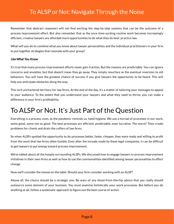Remember that abstract reasoners will not find exciting the step-by-step systems that can be the outcome of a process improvement effort. But also remember that as the once time-sucking routine work becomes increasingly efficient, creative lawyers are afforded more opportunities to do what they do best: practice law.

What will you do to combine what you know about lawyer personalities and the individual practitioners in your firm to put together strategies that resonate with your group?

#### Use What You Know

It's true that many process improvement efforts never gain traction. But the reasons are predictable. You can ignore concerns and anxieties, but that doesn't mean they go away. They simply resurface as the eventual reversion to old behaviors. You will have the greatest chance of success if you give lawyers the opportunity to be heard. This will help you anticipate obstacles along the way.

This isn't unchartered territory for law firms. At the end of the day, it's a matter of tailoring your messages to appeal to your audience. To the extent that you understand your lawyers and what they need to thrive, you can make a difference in your firm's profitability.

### <span id="page-8-0"></span>To ALSP or Not. It's Just Part of the Question

Everything is a process, even, as the pandemic reminds us, hand hygiene. We use a myriad of processes in our work, some good, some not so good. The best processes are efficient, predictable, even lucrative. The worst? They create problems for clients and drain the coffers of law firms.

So when ALSPs spotted the opportunity to do processes better, faster, cheaper, they were ready and willing to profit from the work that law firms often fumble. Even after the inroads made by these legal companies, it can be difficult to get lawyers to put energy toward process improvement.

We've talked about all the hoopla surrounding ALSPs. We discussed how to engage lawyers in process improvement initiatives in their own firms as well as how to use the commonalities identified among lawyer personalities to effect change.

Now we'll consider the moose on the table: Should your firm consider working with an ALSP?

Above all, the choice should be a strategic one. Be wary of any shoot-from-the-hip advice that you really should outsource some element of your business. You must examine holistically your work processes. But before you do anything at all, follow a systematic approach to figure out the best course of action.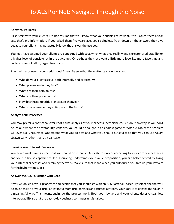#### Know Your Clients

First, start with your clients. Do not assume that you know what your clients really want. If you asked them a year ago, that's old information. If you asked them five years ago, you're clueless. Push down on the answers they give because your client may not actually know the answer themselves.

You may have assumed your clients are concerned with cost, when what they really want is greater predictability or a higher level of consistency in the outcomes. Or perhaps they just want a little more love, i.e., more face time and better communication, regardless of cost.

Run their responses through additional filters. Be sure that the matter teams understand:

- Who do your clients serve, both internally and externally?
- What pressures do they face?
- What are their pain points?
- What are their price points?
- How has the competitive landscape changed?
- What challenges do they anticipate in the future?

#### Analyze Your Processes

You may prefer a root canal over root cause analysis of your process inefficiencies. But do it anyway. If you don't figure out where the profitability leaks are, you could be caught in an endless game of Whac-A-Mole: the problem will eventually resurface. Understand what you do best and what you should outsource so that you can use ALSPs strategically rather than as a bandage.

#### Examine Your Internal Resources

You never want to outsource what you should do in-house. Allocate resources according to your core competencies and your in-house capabilities. If outsourcing undermines your value proposition, you are better served by fixing your internal processes and retaining the work. Make sure that if and when you outsource, you free up your lawyers for the higher value work.

#### Answer the ALSP Question with Care

If you've looked at your processes and decide that you should go with an ALSP after all, carefully select one that will be an extension of your firm. Enlist input from firm partners and trusted advisors. Your goal is to engage the ALSP in a meaningful way. This means, again, do the process work. Both your lawyers and your clients deserve seamless interoperability so that the day-to-day business continues undisturbed.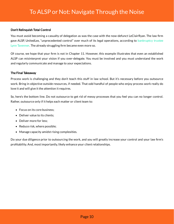#### Don't Relinquish Total Control

You must avoid becoming a casualty of delegation as was the case with the now-defunct LeClairRyan. The law firm gave ALSP, UnitedLex, ["unprecedented](https://richmondbizsense.com/2020/10/29/leclairryan-trustee-sues-law-firms-former-ulx-joint-venture-for-128m/#djPop) control" over much of its legal operations, according to bankruptcy trustee Lynn Tavenner. The already struggling firm became even more so.

Of course, we hope that your firm is not in Chapter 11. However, this example illustrates that even an established ALSP can misinterpret your vision if you over-delegate. You must be involved and you must understand the work and regularly communicate and manage to your expectations.

#### The Final Takeaway

Process work is challenging and they don't teach this stuff in law school. But it's necessary before you outsource work. Bring in objective outside resources, if needed. That odd handful of people who enjoy process work really do love it and will give it the attention it requires.

So, here's the bottom line. Do not outsource to get rid of messy processes that you feel you can no longer control. Rather, outsource only if it helps each matter or client team to:

- Focus on its core business:
- Deliver value to its clients;
- Deliver more for less:
- Reduce risk, where possible;
- Manage capacity amidst rising complexities.

Do your due diligence prior to outsourcing the work, and you will greatly increase your control and your law firm's profitability. And, most importantly, likely enhance your client relationships.